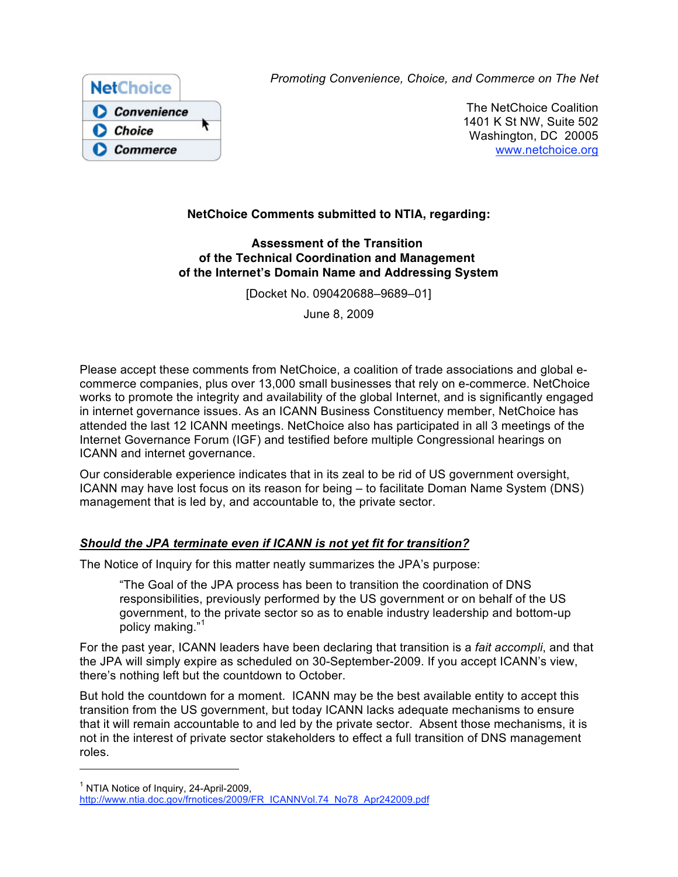

*Promoting Convenience, Choice, and Commerce on The Net*

The NetChoice Coalition 1401 K St NW, Suite 502 Washington, DC 20005 www.netchoice.org

# **NetChoice Comments submitted to NTIA, regarding:**

#### **Assessment of the Transition of the Technical Coordination and Management of the Internet's Domain Name and Addressing System**

[Docket No. 090420688–9689–01]

June 8, 2009

Please accept these comments from NetChoice, a coalition of trade associations and global ecommerce companies, plus over 13,000 small businesses that rely on e-commerce. NetChoice works to promote the integrity and availability of the global Internet, and is significantly engaged in internet governance issues. As an ICANN Business Constituency member, NetChoice has attended the last 12 ICANN meetings. NetChoice also has participated in all 3 meetings of the Internet Governance Forum (IGF) and testified before multiple Congressional hearings on ICANN and internet governance.

Our considerable experience indicates that in its zeal to be rid of US government oversight, ICANN may have lost focus on its reason for being – to facilitate Doman Name System (DNS) management that is led by, and accountable to, the private sector.

## *Should the JPA terminate even if ICANN is not yet fit for transition?*

The Notice of Inquiry for this matter neatly summarizes the JPA's purpose:

"The Goal of the JPA process has been to transition the coordination of DNS responsibilities, previously performed by the US government or on behalf of the US government, to the private sector so as to enable industry leadership and bottom-up policy making."<sup>1</sup>

For the past year, ICANN leaders have been declaring that transition is a *fait accompli*, and that the JPA will simply expire as scheduled on 30-September-2009. If you accept ICANN's view, there's nothing left but the countdown to October.

But hold the countdown for a moment. ICANN may be the best available entity to accept this transition from the US government, but today ICANN lacks adequate mechanisms to ensure that it will remain accountable to and led by the private sector. Absent those mechanisms, it is not in the interest of private sector stakeholders to effect a full transition of DNS management roles.

 $<sup>1</sup>$  NTIA Notice of Inquiry, 24-April-2009,</sup>

http://www.ntia.doc.gov/frnotices/2009/FR\_ICANNVol.74\_No78\_Apr242009.pdf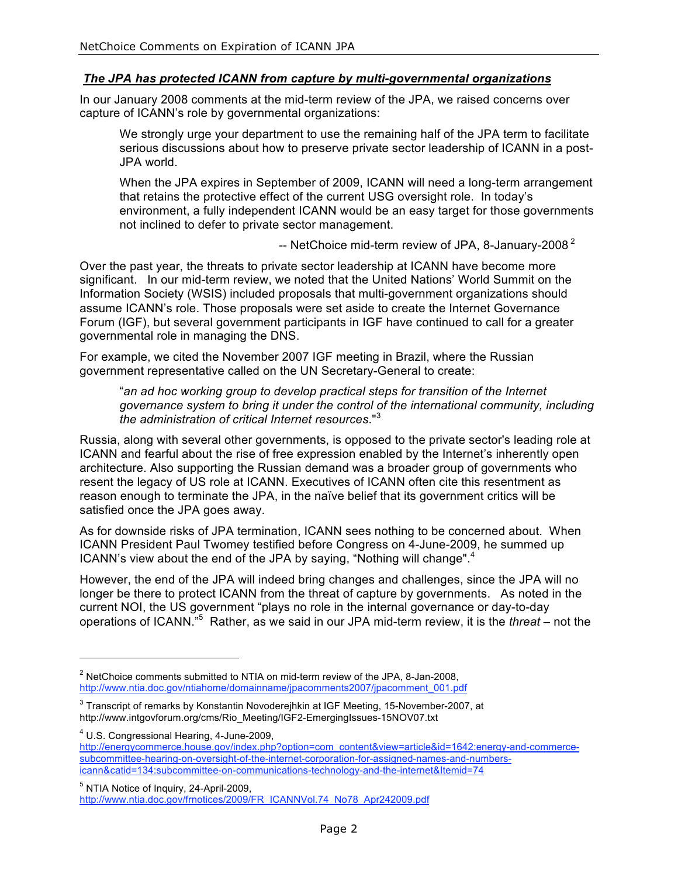# *The JPA has protected ICANN from capture by multi-governmental organizations*

In our January 2008 comments at the mid-term review of the JPA, we raised concerns over capture of ICANN's role by governmental organizations:

We strongly urge your department to use the remaining half of the JPA term to facilitate serious discussions about how to preserve private sector leadership of ICANN in a post-JPA world.

When the JPA expires in September of 2009, ICANN will need a long-term arrangement that retains the protective effect of the current USG oversight role. In today's environment, a fully independent ICANN would be an easy target for those governments not inclined to defer to private sector management.

-- NetChoice mid-term review of JPA, 8-January-2008<sup>2</sup>

Over the past year, the threats to private sector leadership at ICANN have become more significant. In our mid-term review, we noted that the United Nations' World Summit on the Information Society (WSIS) included proposals that multi-government organizations should assume ICANN's role. Those proposals were set aside to create the Internet Governance Forum (IGF), but several government participants in IGF have continued to call for a greater governmental role in managing the DNS.

For example, we cited the November 2007 IGF meeting in Brazil, where the Russian government representative called on the UN Secretary-General to create:

"*an ad hoc working group to develop practical steps for transition of the Internet governance system to bring it under the control of the international community, including the administration of critical Internet resources*."<sup>3</sup>

Russia, along with several other governments, is opposed to the private sector's leading role at ICANN and fearful about the rise of free expression enabled by the Internet's inherently open architecture. Also supporting the Russian demand was a broader group of governments who resent the legacy of US role at ICANN. Executives of ICANN often cite this resentment as reason enough to terminate the JPA, in the naïve belief that its government critics will be satisfied once the JPA goes away.

As for downside risks of JPA termination, ICANN sees nothing to be concerned about. When ICANN President Paul Twomey testified before Congress on 4-June-2009, he summed up ICANN's view about the end of the JPA by saying, "Nothing will change".<sup>4</sup>

However, the end of the JPA will indeed bring changes and challenges, since the JPA will no longer be there to protect ICANN from the threat of capture by governments. As noted in the current NOI, the US government "plays no role in the internal governance or day-to-day operations of ICANN."<sup>5</sup> Rather, as we said in our JPA mid-term review, it is the *threat* – not the

 $\overline{a}$ 

<sup>4</sup> U.S. Congressional Hearing, 4-June-2009, http://energycommerce.house.gov/index.php?option=com\_content&view=article&id=1642:energy-and-commercesubcommittee-hearing-on-oversight-of-the-internet-corporation-for-assigned-names-and-numbersicann&catid=134:subcommittee-on-communications-technology-and-the-internet&Itemid=74

 $^2$  NetChoice comments submitted to NTIA on mid-term review of the JPA, 8-Jan-2008, http://www.ntia.doc.gov/ntiahome/domainname/jpacomments2007/jpacomment\_001.pdf

 $^3$  Transcript of remarks by Konstantin Novoderejhkin at IGF Meeting, 15-November-2007, at http://www.intgovforum.org/cms/Rio\_Meeting/IGF2-EmergingIssues-15NOV07.txt

<sup>&</sup>lt;sup>5</sup> NTIA Notice of Inquiry, 24-April-2009, http://www.ntia.doc.gov/frnotices/2009/FR\_ICANNVol.74\_No78\_Apr242009.pdf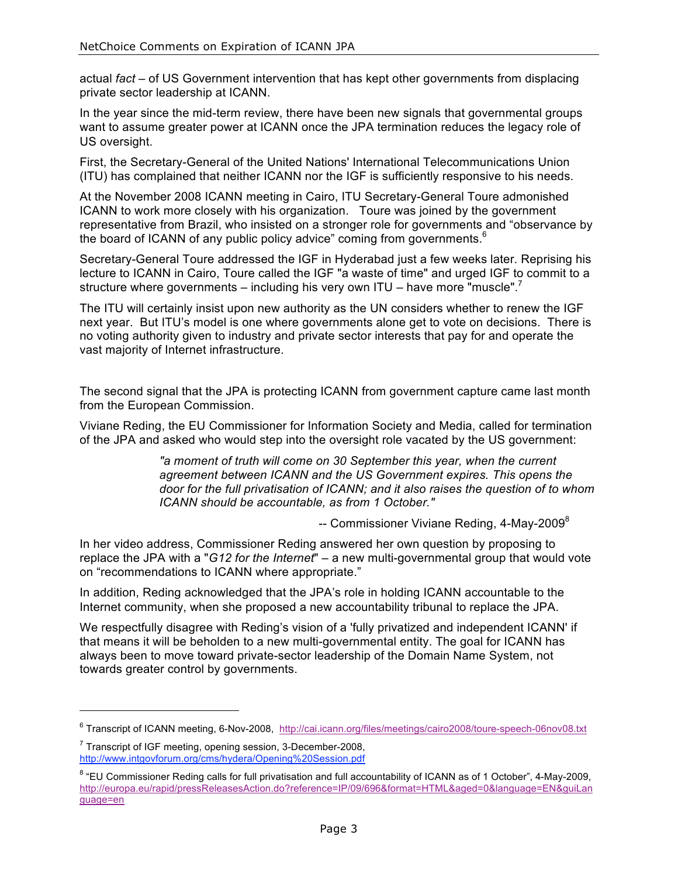actual *fact* – of US Government intervention that has kept other governments from displacing private sector leadership at ICANN.

In the year since the mid-term review, there have been new signals that governmental groups want to assume greater power at ICANN once the JPA termination reduces the legacy role of US oversight.

First, the Secretary-General of the United Nations' International Telecommunications Union (ITU) has complained that neither ICANN nor the IGF is sufficiently responsive to his needs.

At the November 2008 ICANN meeting in Cairo, ITU Secretary-General Toure admonished ICANN to work more closely with his organization. Toure was joined by the government representative from Brazil, who insisted on a stronger role for governments and "observance by the board of ICANN of any public policy advice" coming from governments. $6$ 

Secretary-General Toure addressed the IGF in Hyderabad just a few weeks later. Reprising his lecture to ICANN in Cairo, Toure called the IGF "a waste of time" and urged IGF to commit to a structure where governments – including his very own ITU – have more "muscle".<sup>7</sup>

The ITU will certainly insist upon new authority as the UN considers whether to renew the IGF next year. But ITU's model is one where governments alone get to vote on decisions. There is no voting authority given to industry and private sector interests that pay for and operate the vast majority of Internet infrastructure.

The second signal that the JPA is protecting ICANN from government capture came last month from the European Commission.

Viviane Reding, the EU Commissioner for Information Society and Media, called for termination of the JPA and asked who would step into the oversight role vacated by the US government:

> *"a moment of truth will come on 30 September this year, when the current agreement between ICANN and the US Government expires. This opens the door for the full privatisation of ICANN; and it also raises the question of to whom ICANN should be accountable, as from 1 October."*

> > $-$  Commissioner Viviane Reding, 4-May-2009 $^8$

In her video address, Commissioner Reding answered her own question by proposing to replace the JPA with a "*G12 for the Internet*" – a new multi-governmental group that would vote on "recommendations to ICANN where appropriate."

In addition, Reding acknowledged that the JPA's role in holding ICANN accountable to the Internet community, when she proposed a new accountability tribunal to replace the JPA.

We respectfully disagree with Reding's vision of a 'fully privatized and independent ICANN' if that means it will be beholden to a new multi-governmental entity. The goal for ICANN has always been to move toward private-sector leadership of the Domain Name System, not towards greater control by governments.

<sup>&</sup>lt;sup>6</sup> Transcript of ICANN meeting, 6-Nov-2008, http://cai.icann.org/files/meetings/cairo2008/toure-speech-06nov08.txt

 $7$  Transcript of IGF meeting, opening session, 3-December-2008, http://www.intgovforum.org/cms/hydera/Opening%20Session.pdf

<sup>&</sup>lt;sup>8</sup> "EU Commissioner Reding calls for full privatisation and full accountability of ICANN as of 1 October", 4-May-2009, http://europa.eu/rapid/pressReleasesAction.do?reference=IP/09/696&format=HTML&aged=0&language=EN&guiLan guage=en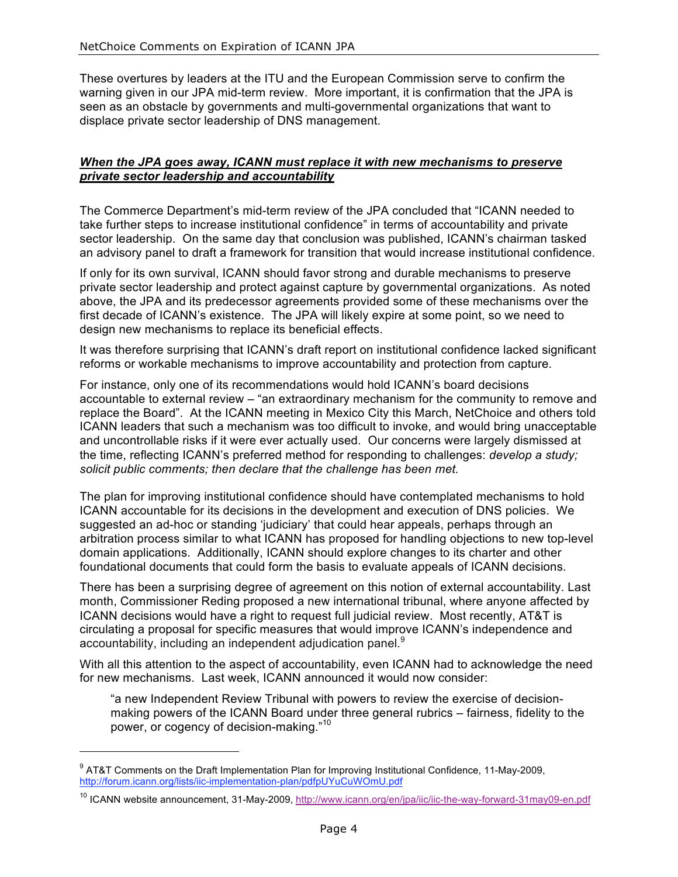These overtures by leaders at the ITU and the European Commission serve to confirm the warning given in our JPA mid-term review. More important, it is confirmation that the JPA is seen as an obstacle by governments and multi-governmental organizations that want to displace private sector leadership of DNS management.

#### *When the JPA goes away, ICANN must replace it with new mechanisms to preserve private sector leadership and accountability*

The Commerce Department's mid-term review of the JPA concluded that "ICANN needed to take further steps to increase institutional confidence" in terms of accountability and private sector leadership. On the same day that conclusion was published, ICANN's chairman tasked an advisory panel to draft a framework for transition that would increase institutional confidence.

If only for its own survival, ICANN should favor strong and durable mechanisms to preserve private sector leadership and protect against capture by governmental organizations. As noted above, the JPA and its predecessor agreements provided some of these mechanisms over the first decade of ICANN's existence. The JPA will likely expire at some point, so we need to design new mechanisms to replace its beneficial effects.

It was therefore surprising that ICANN's draft report on institutional confidence lacked significant reforms or workable mechanisms to improve accountability and protection from capture.

For instance, only one of its recommendations would hold ICANN's board decisions accountable to external review – "an extraordinary mechanism for the community to remove and replace the Board". At the ICANN meeting in Mexico City this March, NetChoice and others told ICANN leaders that such a mechanism was too difficult to invoke, and would bring unacceptable and uncontrollable risks if it were ever actually used. Our concerns were largely dismissed at the time, reflecting ICANN's preferred method for responding to challenges: *develop a study; solicit public comments; then declare that the challenge has been met.*

The plan for improving institutional confidence should have contemplated mechanisms to hold ICANN accountable for its decisions in the development and execution of DNS policies. We suggested an ad-hoc or standing 'judiciary' that could hear appeals, perhaps through an arbitration process similar to what ICANN has proposed for handling objections to new top-level domain applications. Additionally, ICANN should explore changes to its charter and other foundational documents that could form the basis to evaluate appeals of ICANN decisions.

There has been a surprising degree of agreement on this notion of external accountability. Last month, Commissioner Reding proposed a new international tribunal, where anyone affected by ICANN decisions would have a right to request full judicial review. Most recently, AT&T is circulating a proposal for specific measures that would improve ICANN's independence and accountability, including an independent adjudication panel.<sup>9</sup>

With all this attention to the aspect of accountability, even ICANN had to acknowledge the need for new mechanisms. Last week, ICANN announced it would now consider:

"a new Independent Review Tribunal with powers to review the exercise of decisionmaking powers of the ICANN Board under three general rubrics – fairness, fidelity to the power, or cogency of decision-making."<sup>10</sup>

<sup>&</sup>lt;sup>9</sup> AT&T Comments on the Draft Implementation Plan for Improving Institutional Confidence, 11-May-2009, http://forum.icann.org/lists/iic-implementation-plan/pdfpUYuCuWOmU.pdf

<sup>&</sup>lt;sup>10</sup> ICANN website announcement, 31-May-2009, http://www.icann.org/en/jpa/iic/iic-the-way-forward-31may09-en.pdf